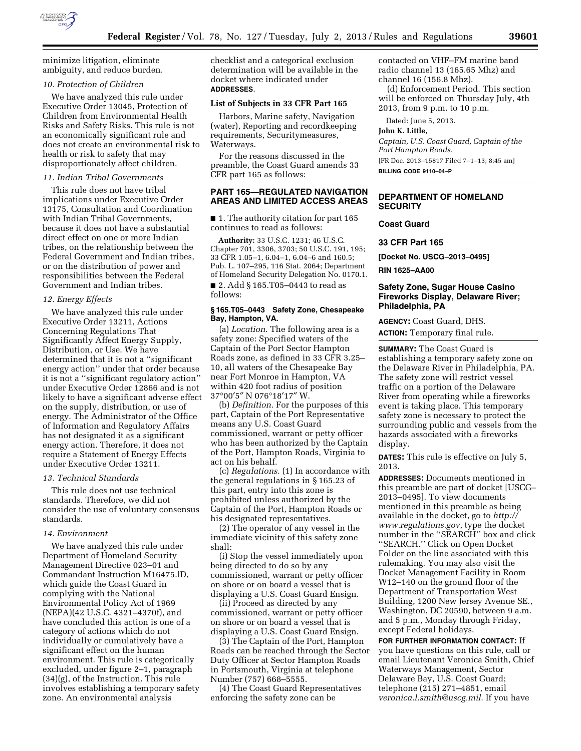

minimize litigation, eliminate ambiguity, and reduce burden.

# *10. Protection of Children*

We have analyzed this rule under Executive Order 13045, Protection of Children from Environmental Health Risks and Safety Risks. This rule is not an economically significant rule and does not create an environmental risk to health or risk to safety that may disproportionately affect children.

# *11. Indian Tribal Governments*

This rule does not have tribal implications under Executive Order 13175, Consultation and Coordination with Indian Tribal Governments, because it does not have a substantial direct effect on one or more Indian tribes, on the relationship between the Federal Government and Indian tribes, or on the distribution of power and responsibilities between the Federal Government and Indian tribes.

#### *12. Energy Effects*

We have analyzed this rule under Executive Order 13211, Actions Concerning Regulations That Significantly Affect Energy Supply, Distribution, or Use. We have determined that it is not a ''significant energy action'' under that order because it is not a ''significant regulatory action'' under Executive Order 12866 and is not likely to have a significant adverse effect on the supply, distribution, or use of energy. The Administrator of the Office of Information and Regulatory Affairs has not designated it as a significant energy action. Therefore, it does not require a Statement of Energy Effects under Executive Order 13211.

## *13. Technical Standards*

This rule does not use technical standards. Therefore, we did not consider the use of voluntary consensus standards.

### *14. Environment*

We have analyzed this rule under Department of Homeland Security Management Directive 023–01 and Commandant Instruction M16475.lD, which guide the Coast Guard in complying with the National Environmental Policy Act of 1969 (NEPA)(42 U.S.C. 4321–4370f), and have concluded this action is one of a category of actions which do not individually or cumulatively have a significant effect on the human environment. This rule is categorically excluded, under figure 2–1, paragraph (34)(g), of the Instruction. This rule involves establishing a temporary safety zone. An environmental analysis

checklist and a categorical exclusion determination will be available in the docket where indicated under **ADDRESSES**.

# **List of Subjects in 33 CFR Part 165**

Harbors, Marine safety, Navigation (water), Reporting and recordkeeping requirements, Securitymeasures, Waterways.

For the reasons discussed in the preamble, the Coast Guard amends 33 CFR part 165 as follows:

# **PART 165—REGULATED NAVIGATION AREAS AND LIMITED ACCESS AREAS**

■ 1. The authority citation for part 165 continues to read as follows:

**Authority:** 33 U.S.C. 1231; 46 U.S.C. Chapter 701, 3306, 3703; 50 U.S.C. 191, 195; 33 CFR 1.05–1, 6.04–1, 6.04–6 and 160.5; Pub. L. 107–295, 116 Stat. 2064; Department of Homeland Security Delegation No. 0170.1.

■ 2. Add § 165.T05–0443 to read as follows:

# **§ 165.T05–0443 Safety Zone, Chesapeake Bay, Hampton, VA.**

(a) *Location.* The following area is a safety zone: Specified waters of the Captain of the Port Sector Hampton Roads zone, as defined in 33 CFR 3.25– 10, all waters of the Chesapeake Bay near Fort Monroe in Hampton, VA within 420 foot radius of position 37°00′5″ N 076°18′17″ W.

(b) *Definition.* For the purposes of this part, Captain of the Port Representative means any U.S. Coast Guard commissioned, warrant or petty officer who has been authorized by the Captain of the Port, Hampton Roads, Virginia to act on his behalf.

(c) *Regulations.* (1) In accordance with the general regulations in § 165.23 of this part, entry into this zone is prohibited unless authorized by the Captain of the Port, Hampton Roads or his designated representatives.

(2) The operator of any vessel in the immediate vicinity of this safety zone shall:

(i) Stop the vessel immediately upon being directed to do so by any commissioned, warrant or petty officer on shore or on board a vessel that is displaying a U.S. Coast Guard Ensign.

(ii) Proceed as directed by any commissioned, warrant or petty officer on shore or on board a vessel that is displaying a U.S. Coast Guard Ensign.

(3) The Captain of the Port, Hampton Roads can be reached through the Sector Duty Officer at Sector Hampton Roads in Portsmouth, Virginia at telephone Number (757) 668–5555.

(4) The Coast Guard Representatives enforcing the safety zone can be

contacted on VHF–FM marine band radio channel 13 (165.65 Mhz) and channel 16 (156.8 Mhz).

(d) Enforcement Period. This section will be enforced on Thursday July, 4th 2013, from 9 p.m. to 10 p.m.

Dated: June 5, 2013.

**John K. Little,** 

*Captain, U.S. Coast Guard, Captain of the Port Hampton Roads.*  [FR Doc. 2013–15817 Filed 7–1–13; 8:45 am] **BILLING CODE 9110–04–P** 

**DEPARTMENT OF HOMELAND SECURITY** 

# **Coast Guard**

**33 CFR Part 165** 

**[Docket No. USCG–2013–0495]** 

**RIN 1625–AA00** 

# **Safety Zone, Sugar House Casino Fireworks Display, Delaware River; Philadelphia, PA**

**AGENCY:** Coast Guard, DHS. **ACTION:** Temporary final rule.

**SUMMARY:** The Coast Guard is establishing a temporary safety zone on the Delaware River in Philadelphia, PA. The safety zone will restrict vessel traffic on a portion of the Delaware River from operating while a fireworks event is taking place. This temporary safety zone is necessary to protect the surrounding public and vessels from the hazards associated with a fireworks display.

**DATES:** This rule is effective on July 5, 2013.

**ADDRESSES:** Documents mentioned in this preamble are part of docket [USCG– 2013–0495]. To view documents mentioned in this preamble as being available in the docket, go to *[http://](http://www.regulations.gov) [www.regulations.gov](http://www.regulations.gov)*, type the docket number in the ''SEARCH'' box and click ''SEARCH.'' Click on Open Docket Folder on the line associated with this rulemaking. You may also visit the Docket Management Facility in Room W12–140 on the ground floor of the Department of Transportation West Building, 1200 New Jersey Avenue SE., Washington, DC 20590, between 9 a.m. and 5 p.m., Monday through Friday, except Federal holidays.

**FOR FURTHER INFORMATION CONTACT:** If you have questions on this rule, call or email Lieutenant Veronica Smith, Chief Waterways Management, Sector Delaware Bay, U.S. Coast Guard; telephone (215) 271–4851, email *[veronica.l.smith@uscg.mil](mailto:veronica.l.smith@uscg.mil)*. If you have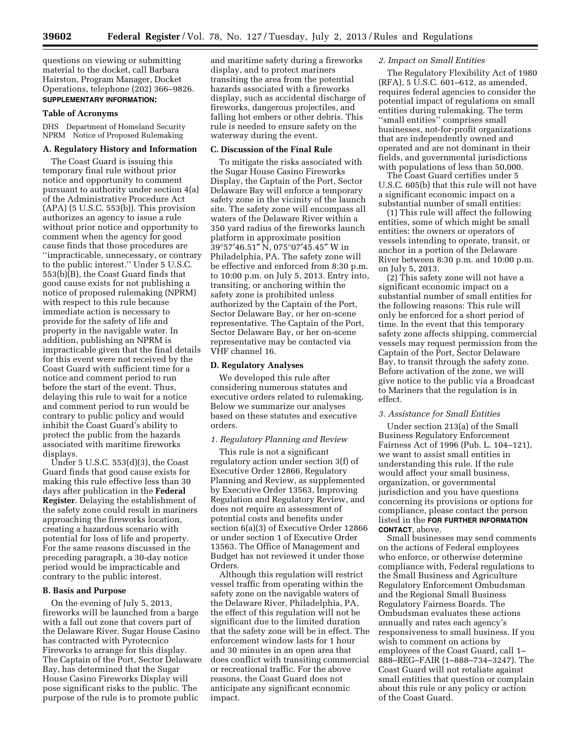questions on viewing or submitting material to the docket, call Barbara Hairston, Program Manager, Docket Operations, telephone (202) 366–9826. **SUPPLEMENTARY INFORMATION:** 

#### **Table of Acronyms**

DHS Department of Homeland Security NPRM Notice of Proposed Rulemaking

# **A. Regulatory History and Information**

The Coast Guard is issuing this temporary final rule without prior notice and opportunity to comment pursuant to authority under section 4(a) of the Administrative Procedure Act  $(APA)$  (5 U.S.C. 553(b)). This provision authorizes an agency to issue a rule without prior notice and opportunity to comment when the agency for good cause finds that those procedures are ''impracticable, unnecessary, or contrary to the public interest.'' Under 5 U.S.C. 553(b)(B), the Coast Guard finds that good cause exists for not publishing a notice of proposed rulemaking (NPRM) with respect to this rule because immediate action is necessary to provide for the safety of life and property in the navigable water. In addition, publishing an NPRM is impracticable given that the final details for this event were not received by the Coast Guard with sufficient time for a notice and comment period to run before the start of the event. Thus, delaying this rule to wait for a notice and comment period to run would be contrary to public policy and would inhibit the Coast Guard's ability to protect the public from the hazards associated with maritime fireworks displays.

Under 5 U.S.C. 553(d)(3), the Coast Guard finds that good cause exists for making this rule effective less than 30 days after publication in the **Federal Register**. Delaying the establishment of the safety zone could result in mariners approaching the fireworks location, creating a hazardous scenario with potential for loss of life and property. For the same reasons discussed in the preceding paragraph, a 30-day notice period would be impracticable and contrary to the public interest.

### **B. Basis and Purpose**

On the evening of July 5, 2013, fireworks will be launched from a barge with a fall out zone that covers part of the Delaware River. Sugar House Casino has contracted with Pyrotecnico Fireworks to arrange for this display. The Captain of the Port, Sector Delaware Bay, has determined that the Sugar House Casino Fireworks Display will pose significant risks to the public. The purpose of the rule is to promote public

and maritime safety during a fireworks display, and to protect mariners transiting the area from the potential hazards associated with a fireworks display, such as accidental discharge of fireworks, dangerous projectiles, and falling hot embers or other debris. This rule is needed to ensure safety on the waterway during the event.

### **C. Discussion of the Final Rule**

To mitigate the risks associated with the Sugar House Casino Fireworks Display, the Captain of the Port, Sector Delaware Bay will enforce a temporary safety zone in the vicinity of the launch site. The safety zone will encompass all waters of the Delaware River within a 350 yard radius of the fireworks launch platform in approximate position 39°57′46.51″ N, 075°07′45.45″ W in Philadelphia, PA. The safety zone will be effective and enforced from 8:30 p.m. to 10:00 p.m. on July 5, 2013. Entry into, transiting, or anchoring within the safety zone is prohibited unless authorized by the Captain of the Port, Sector Delaware Bay, or her on-scene representative. The Captain of the Port, Sector Delaware Bay, or her on-scene representative may be contacted via VHF channel 16.

### **D. Regulatory Analyses**

We developed this rule after considering numerous statutes and executive orders related to rulemaking. Below we summarize our analyses based on these statutes and executive orders.

### *1. Regulatory Planning and Review*

This rule is not a significant regulatory action under section 3(f) of Executive Order 12866, Regulatory Planning and Review, as supplemented by Executive Order 13563, Improving Regulation and Regulatory Review, and does not require an assessment of potential costs and benefits under section 6(a)(3) of Executive Order 12866 or under section 1 of Executive Order 13563. The Office of Management and Budget has not reviewed it under those Orders.

Although this regulation will restrict vessel traffic from operating within the safety zone on the navigable waters of the Delaware River, Philadelphia, PA, the effect of this regulation will not be significant due to the limited duration that the safety zone will be in effect. The enforcement window lasts for 1 hour and 30 minutes in an open area that does conflict with transiting commercial or recreational traffic. For the above reasons, the Coast Guard does not anticipate any significant economic impact.

# *2. Impact on Small Entities*

The Regulatory Flexibility Act of 1980 (RFA), 5 U.S.C. 601–612, as amended, requires federal agencies to consider the potential impact of regulations on small entities during rulemaking. The term ''small entities'' comprises small businesses, not-for-profit organizations that are independently owned and operated and are not dominant in their fields, and governmental jurisdictions with populations of less than 50,000.

The Coast Guard certifies under 5 U.S.C. 605(b) that this rule will not have a significant economic impact on a substantial number of small entities:

(1) This rule will affect the following entities, some of which might be small entities: the owners or operators of vessels intending to operate, transit, or anchor in a portion of the Delaware River between 8:30 p.m. and 10:00 p.m. on July 5, 2013.

(2) This safety zone will not have a significant economic impact on a substantial number of small entities for the following reasons: This rule will only be enforced for a short period of time. In the event that this temporary safety zone affects shipping, commercial vessels may request permission from the Captain of the Port, Sector Delaware Bay, to transit through the safety zone. Before activation of the zone, we will give notice to the public via a Broadcast to Mariners that the regulation is in effect.

### *3. Assistance for Small Entities*

Under section 213(a) of the Small Business Regulatory Enforcement Fairness Act of 1996 (Pub. L. 104–121), we want to assist small entities in understanding this rule. If the rule would affect your small business, organization, or governmental jurisdiction and you have questions concerning its provisions or options for compliance, please contact the person listed in the **FOR FURTHER INFORMATION CONTACT**, above.

Small businesses may send comments on the actions of Federal employees who enforce, or otherwise determine compliance with, Federal regulations to the Small Business and Agriculture Regulatory Enforcement Ombudsman and the Regional Small Business Regulatory Fairness Boards. The Ombudsman evaluates these actions annually and rates each agency's responsiveness to small business. If you wish to comment on actions by employees of the Coast Guard, call 1– 888–REG–FAIR (1–888–734–3247). The Coast Guard will not retaliate against small entities that question or complain about this rule or any policy or action of the Coast Guard.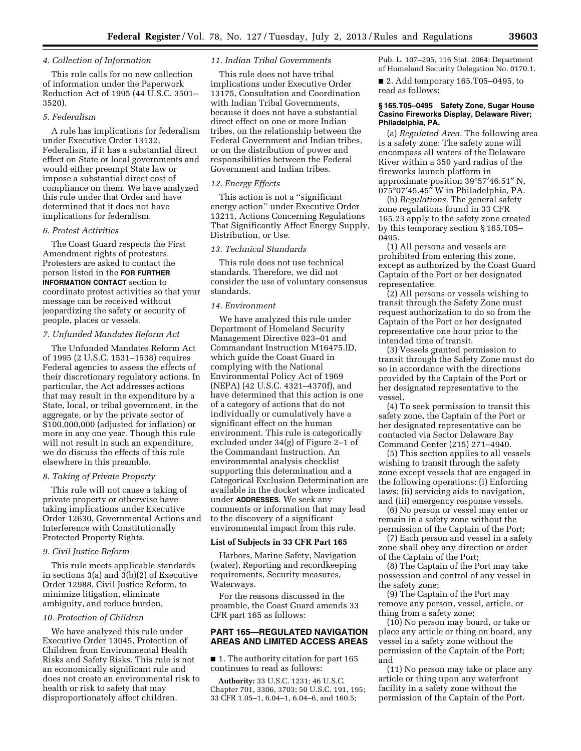### *4. Collection of Information*

This rule calls for no new collection of information under the Paperwork Reduction Act of 1995 (44 U.S.C. 3501– 3520).

# *5. Federalism*

A rule has implications for federalism under Executive Order 13132, Federalism, if it has a substantial direct effect on State or local governments and would either preempt State law or impose a substantial direct cost of compliance on them. We have analyzed this rule under that Order and have determined that it does not have implications for federalism.

### *6. Protest Activities*

The Coast Guard respects the First Amendment rights of protesters. Protesters are asked to contact the person listed in the **FOR FURTHER INFORMATION CONTACT** section to coordinate protest activities so that your message can be received without jeopardizing the safety or security of people, places or vessels.

### *7. Unfunded Mandates Reform Act*

The Unfunded Mandates Reform Act of 1995 (2 U.S.C. 1531–1538) requires Federal agencies to assess the effects of their discretionary regulatory actions. In particular, the Act addresses actions that may result in the expenditure by a State, local, or tribal government, in the aggregate, or by the private sector of \$100,000,000 (adjusted for inflation) or more in any one year. Though this rule will not result in such an expenditure, we do discuss the effects of this rule elsewhere in this preamble.

#### *8. Taking of Private Property*

This rule will not cause a taking of private property or otherwise have taking implications under Executive Order 12630, Governmental Actions and Interference with Constitutionally Protected Property Rights.

# *9. Civil Justice Reform*

This rule meets applicable standards in sections 3(a) and 3(b)(2) of Executive Order 12988, Civil Justice Reform, to minimize litigation, eliminate ambiguity, and reduce burden.

#### *10. Protection of Children*

We have analyzed this rule under Executive Order 13045, Protection of Children from Environmental Health Risks and Safety Risks. This rule is not an economically significant rule and does not create an environmental risk to health or risk to safety that may disproportionately affect children.

# *11. Indian Tribal Governments*

This rule does not have tribal implications under Executive Order 13175, Consultation and Coordination with Indian Tribal Governments, because it does not have a substantial direct effect on one or more Indian tribes, on the relationship between the Federal Government and Indian tribes, or on the distribution of power and responsibilities between the Federal Government and Indian tribes.

### *12. Energy Effects*

This action is not a ''significant energy action'' under Executive Order 13211, Actions Concerning Regulations That Significantly Affect Energy Supply, Distribution, or Use.

# *13. Technical Standards*

This rule does not use technical standards. Therefore, we did not consider the use of voluntary consensus standards.

### *14. Environment*

We have analyzed this rule under Department of Homeland Security Management Directive 023–01 and Commandant Instruction M16475.lD, which guide the Coast Guard in complying with the National Environmental Policy Act of 1969 (NEPA) (42 U.S.C. 4321–4370f), and have determined that this action is one of a category of actions that do not individually or cumulatively have a significant effect on the human environment. This rule is categorically excluded under 34(g) of Figure 2–1 of the Commandant Instruction. An environmental analysis checklist supporting this determination and a Categorical Exclusion Determination are available in the docket where indicated under **ADDRESSES**. We seek any comments or information that may lead to the discovery of a significant environmental impact from this rule.

#### **List of Subjects in 33 CFR Part 165**

Harbors, Marine Safety, Navigation (water), Reporting and recordkeeping requirements, Security measures, Waterways.

For the reasons discussed in the preamble, the Coast Guard amends 33 CFR part 165 as follows:

# **PART 165—REGULATED NAVIGATION AREAS AND LIMITED ACCESS AREAS**

■ 1. The authority citation for part 165 continues to read as follows:

**Authority:** 33 U.S.C. 1231; 46 U.S.C. Chapter 701, 3306, 3703; 50 U.S.C. 191, 195; 33 CFR 1.05–1, 6.04–1, 6.04–6, and 160.5;

Pub. L. 107–295, 116 Stat. 2064; Department of Homeland Security Delegation No. 0170.1.

■ 2. Add temporary 165.T05–0495, to read as follows:

# **§ 165.T05–0495 Safety Zone, Sugar House Casino Fireworks Display, Delaware River; Philadelphia, PA.**

(a) *Regulated Area.* The following area is a safety zone: The safety zone will encompass all waters of the Delaware River within a 350 yard radius of the fireworks launch platform in approximate position 39°57′46.51″ N, 075°07′45.45″ W in Philadelphia, PA.

(b) *Regulations.* The general safety zone regulations found in 33 CFR 165.23 apply to the safety zone created by this temporary section § 165.T05– 0495.

(1) All persons and vessels are prohibited from entering this zone, except as authorized by the Coast Guard Captain of the Port or her designated representative.

(2) All persons or vessels wishing to transit through the Safety Zone must request authorization to do so from the Captain of the Port or her designated representative one hour prior to the intended time of transit.

(3) Vessels granted permission to transit through the Safety Zone must do so in accordance with the directions provided by the Captain of the Port or her designated representative to the vessel.

(4) To seek permission to transit this safety zone, the Captain of the Port or her designated representative can be contacted via Sector Delaware Bay Command Center (215) 271–4940.

(5) This section applies to all vessels wishing to transit through the safety zone except vessels that are engaged in the following operations: (i) Enforcing laws; (ii) servicing aids to navigation, and (iii) emergency response vessels.

(6) No person or vessel may enter or remain in a safety zone without the permission of the Captain of the Port;

(7) Each person and vessel in a safety zone shall obey any direction or order of the Captain of the Port;

(8) The Captain of the Port may take possession and control of any vessel in the safety zone;

(9) The Captain of the Port may remove any person, vessel, article, or thing from a safety zone;

(10) No person may board, or take or place any article or thing on board, any vessel in a safety zone without the permission of the Captain of the Port; and

(11) No person may take or place any article or thing upon any waterfront facility in a safety zone without the permission of the Captain of the Port.